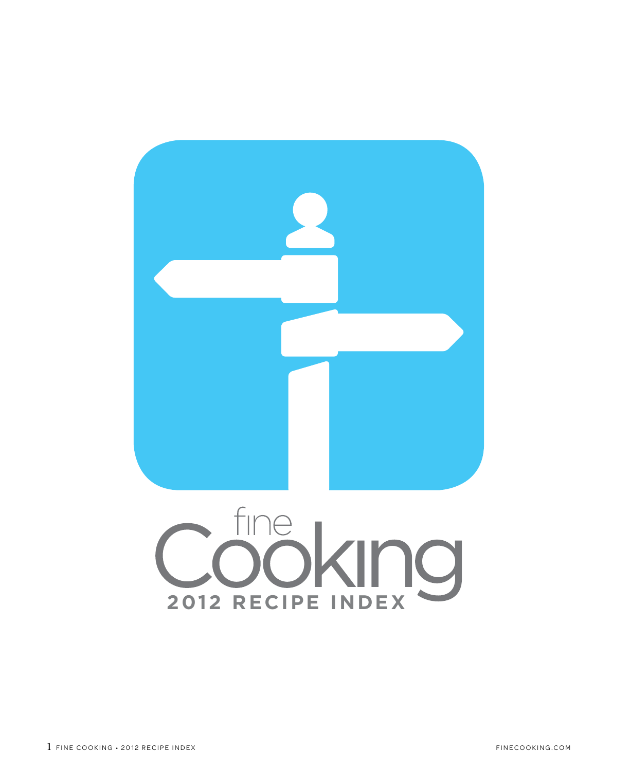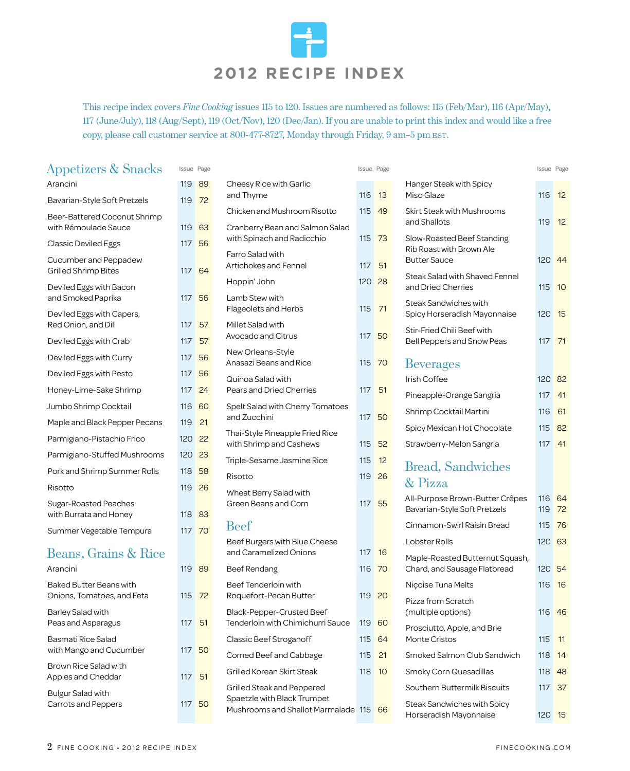

This recipe index covers *Fine Cooking* issues 115 to 120. Issues are numbered as follows: 115 (Feb/Mar), 116 (Apr/May), 117 (June/July), 118 (Aug/Sept), 119 (Oct/Nov), 120 (Dec/Jan). If you are unable to print this index and would like a free copy, please call customer service at 800-477-8727, Monday through Friday, 9 am-5 pm EST.

| Appetizers & Snacks |  |  |
|---------------------|--|--|
|---------------------|--|--|

| Arancini                                                     | 119 | 89 |
|--------------------------------------------------------------|-----|----|
| Bavarian-Style Soft Pretzels                                 | 119 | 72 |
| Beer-Battered Coconut Shrimp<br>with Rémoulade Sauce         | 119 | 63 |
| <b>Classic Deviled Eggs</b>                                  | 117 | 56 |
| Cucumber and Peppadew<br>Grilled Shrimp Bites                | 117 | 64 |
| Deviled Eggs with Bacon<br>and Smoked Paprika                | 117 | 56 |
| Deviled Eggs with Capers,<br>Red Onion, and Dill             | 117 | 57 |
| Deviled Eggs with Crab                                       | 117 | 57 |
| Deviled Eggs with Curry                                      | 117 | 56 |
| Deviled Eggs with Pesto                                      | 117 | 56 |
| Honey-Lime-Sake Shrimp                                       | 117 | 24 |
| Jumbo Shrimp Cocktail                                        | 116 | 60 |
| Maple and Black Pepper Pecans                                | 119 | 21 |
| Parmigiano-Pistachio Frico                                   | 120 | 22 |
| Parmigiano-Stuffed Mushrooms                                 | 120 | 23 |
| Pork and Shrimp Summer Rolls                                 | 118 | 58 |
| Risotto                                                      | 119 | 26 |
| <b>Sugar-Roasted Peaches</b><br>with Burrata and Honey       | 118 | 83 |
| Summer Vegetable Tempura                                     | 117 | 70 |
| Beans, Grains & Rice                                         |     |    |
| Arancini                                                     | 119 | 89 |
| <b>Baked Butter Beans with</b><br>Onions, Tomatoes, and Feta | 115 | 72 |
| <b>Barley Salad with</b><br>Peas and Asparagus               | 117 | 51 |
| <b>Basmati Rice Salad</b><br>with Mango and Cucumber         | 117 | 50 |

|                                                                                              | <b>Issue Page</b> |    |
|----------------------------------------------------------------------------------------------|-------------------|----|
| Cheesy Rice with Garlic<br>and Thyme                                                         | 116               | 13 |
| Chicken and Mushroom Risotto                                                                 | 115               | 49 |
| Cranberry Bean and Salmon Salad<br>with Spinach and Radicchio                                | 115               | 73 |
| Farro Salad with<br>Artichokes and Fennel                                                    | 117               | 51 |
| Hoppin' John                                                                                 | 120 28            |    |
| Lamb Stew with<br><b>Flageolets and Herbs</b>                                                | 115 71            |    |
| Millet Salad with<br>Avocado and Citrus                                                      | 117 50            |    |
| New Orleans-Style<br>Anasazi Beans and Rice                                                  | 115 70            |    |
| Quinoa Salad with<br><b>Pears and Dried Cherries</b>                                         | 117               | 51 |
| Spelt Salad with Cherry Tomatoes<br>and Zucchini                                             | 117               | 50 |
| Thai-Style Pineapple Fried Rice<br>with Shrimp and Cashews                                   | 115               | 52 |
| Triple-Sesame Jasmine Rice                                                                   | 115               | 12 |
| Risotto                                                                                      | 119               | 26 |
| Wheat Berry Salad with<br>Green Beans and Corn                                               | 117               | 55 |
| <b>Beef</b>                                                                                  |                   |    |
| Beef Burgers with Blue Cheese<br>and Caramelized Onions                                      | 117               | 16 |
| <b>Beef Rendang</b>                                                                          | 116               | 70 |
| Beef Tenderloin with<br>Roquefort-Pecan Butter                                               | 119               | 20 |
| Black-Pepper-Crusted Beef<br>Tenderloin with Chimichurri Sauce                               | 119               | 60 |
| Classic Beef Stroganoff                                                                      | 115               | 64 |
| Corned Beef and Cabbage                                                                      | 115               | 21 |
| Grilled Korean Skirt Steak                                                                   | 118               | 10 |
| Grilled Steak and Peppered<br>Spaetzle with Black Trumpet<br>Mushrooms and Shallot Marmalade | 115               | 66 |
|                                                                                              |                   |    |

| Issue Page    |          |                                                               | Issue Page |                   |                                                                 | Issue Page       |          |
|---------------|----------|---------------------------------------------------------------|------------|-------------------|-----------------------------------------------------------------|------------------|----------|
| 119<br>119    | 89<br>72 | Cheesy Rice with Garlic<br>and Thyme                          | 116        | 13                | Hanger Steak with Spicy<br>Miso Glaze                           | 116              | 12       |
|               |          | Chicken and Mushroom Risotto                                  | 115        | 49                | Skirt Steak with Mushrooms<br>and Shallots                      | 119              | 12       |
| 119           | 63       | Cranberry Bean and Salmon Salad<br>with Spinach and Radicchio | 115        | 73                | Slow-Roasted Beef Standing                                      |                  |          |
| 117<br>117 64 | 56       | <b>Farro Salad with</b><br>Artichokes and Fennel              | 117        | 51                | <b>Rib Roast with Brown Ale</b><br><b>Butter Sauce</b>          | 120 <sub>1</sub> | 44       |
|               |          | Hoppin' John                                                  | 120        | 28                | Steak Salad with Shaved Fennel<br>and Dried Cherries            | 115              | 10       |
| 117           | 56       | Lamb Stew with<br>Flageolets and Herbs                        | 115        | 71                | <b>Steak Sandwiches with</b><br>Spicy Horseradish Mayonnaise    | 120              | 15       |
| 117           | 57       | Millet Salad with<br>Avocado and Citrus                       | 117 50     |                   | Stir-Fried Chili Beef with                                      |                  |          |
| 117           | 57       | New Orleans-Style                                             |            |                   | Bell Peppers and Snow Peas                                      | 117              | 71       |
| 117           | 56       | Anasazi Beans and Rice                                        | 115 70     |                   | <b>Beverages</b>                                                |                  |          |
| 117           | 56       | Quinoa Salad with                                             |            |                   | Irish Coffee                                                    | 120              | 82       |
| 117           | 24       | <b>Pears and Dried Cherries</b>                               | 117 51     |                   | Pineapple-Orange Sangria                                        | 117              | 41       |
| 116<br>119    | 60<br>21 | Spelt Salad with Cherry Tomatoes<br>and Zucchini              | 117        | 50                | Shrimp Cocktail Martini                                         | 116              | 61       |
| 120           | 22       | Thai-Style Pineapple Fried Rice                               |            |                   | Spicy Mexican Hot Chocolate                                     | 115              | 82       |
|               | -23      | with Shrimp and Cashews                                       | 115        | 52                | Strawberry-Melon Sangria                                        | 117              | 41       |
| 120           |          | Triple-Sesame Jasmine Rice                                    | 115        | $12 \overline{ }$ | <b>Bread, Sandwiches</b>                                        |                  |          |
| 118           | 58       | Risotto                                                       | 119        | 26                | & Pizza                                                         |                  |          |
| 119<br>118    | 26<br>83 | Wheat Berry Salad with<br>Green Beans and Corn                | 117 55     |                   | All-Purpose Brown-Butter Crêpes<br>Bavarian-Style Soft Pretzels | 116<br>119       | 64<br>72 |
| 117 70        |          | <b>Beef</b>                                                   |            |                   | Cinnamon-Swirl Raisin Bread                                     | 115              | 76       |
|               |          | Beef Burgers with Blue Cheese<br>and Caramelized Onions       | 117        | 16                | Lobster Rolls                                                   | 120 63           |          |
| 119 89        |          | Beef Rendang                                                  | 116        | 70                | Maple-Roasted Butternut Squash,<br>Chard, and Sausage Flatbread | 120 54           |          |

Niçoise Tuna Melts 116 16 16

(multiple options) 116 46

Monte Cristos 115 11 Smoked Salmon Club Sandwich 118 14 Smoky Corn Quesadillas 118 48 Southern Buttermilk Biscuits 117 37

Horseradish Mayonnaise 120 15

Pizza from Scratch

Prosciutto, Apple, and Brie

Steak Sandwiches with Spicy

Apples and Cheddar 117 51

Carrots and Peppers 117 50

Brown Rice Salad with

Bulgur Salad with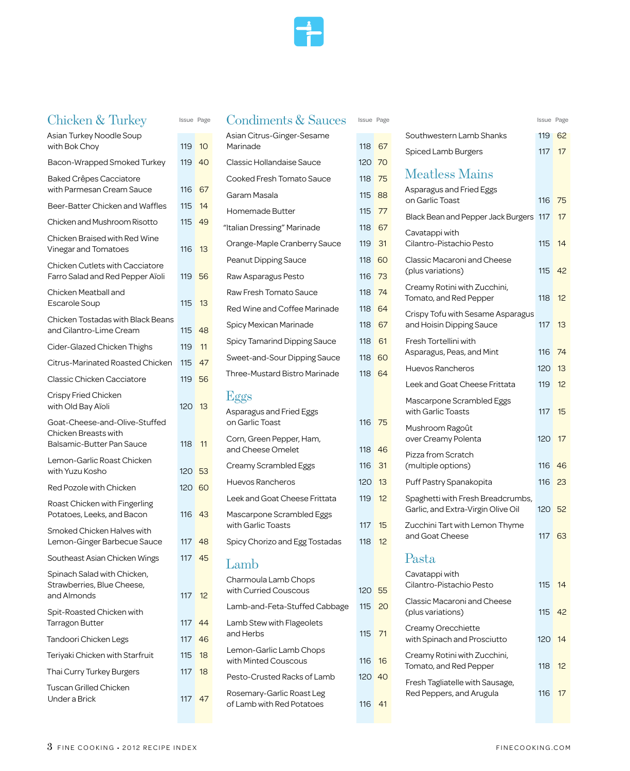### $Chichen \& Turl$

| <b>UTHCKELL &amp; TUTKEY</b>                                                              | issue Page |    |
|-------------------------------------------------------------------------------------------|------------|----|
| Asian Turkey Noodle Soup<br>with Bok Choy                                                 | 119        | 10 |
| Bacon-Wrapped Smoked Turkey                                                               | 119        | 40 |
| <b>Baked Crêpes Cacciatore</b><br>with Parmesan Cream Sauce                               | 116        | 67 |
| Beer-Batter Chicken and Waffles                                                           | 115        | 14 |
| Chicken and Mushroom Risotto                                                              | 115        | 49 |
| Chicken Braised with Red Wine<br>Vinegar and Tomatoes                                     | 116        | 13 |
| <b>Chicken Cutlets with Cacciatore</b><br>Farro Salad and Red Pepper Aïoli                | 119        | 56 |
| Chicken Meatball and<br>Escarole Soup                                                     | 115        | 13 |
| <b>Chicken Tostadas with Black Beans</b><br>and Cilantro-Lime Cream                       | 115        | 48 |
| Cider-Glazed Chicken Thighs                                                               | 119        | 11 |
| Citrus-Marinated Roasted Chicken                                                          | 115        | 47 |
| Classic Chicken Cacciatore                                                                | 119        | 56 |
| Crispy Fried Chicken<br>with Old Bay Aïoli                                                | 120        | 13 |
| Goat-Cheese-and-Olive-Stuffed<br>Chicken Breasts with<br><b>Balsamic-Butter Pan Sauce</b> | 118        | 11 |
| Lemon-Garlic Roast Chicken<br>with Yuzu Kosho                                             | 120        | 53 |
| Red Pozole with Chicken                                                                   | 120        | 60 |
| Roast Chicken with Fingerling<br>Potatoes, Leeks, and Bacon                               | 116        | 43 |
| Smoked Chicken Halves with<br>Lemon-Ginger Barbecue Sauce                                 | 117        | 48 |
| Southeast Asian Chicken Wings                                                             | 117        | 45 |
| Spinach Salad with Chicken,<br>Strawberries, Blue Cheese,<br>and Almonds                  | 117        | 12 |
| Spit-Roasted Chicken with<br><b>Tarragon Butter</b>                                       | 117        | 44 |
| Tandoori Chicken Legs                                                                     | 117        | 46 |
| Teriyaki Chicken with Starfruit                                                           | 115        | 18 |
| Thai Curry Turkey Burgers                                                                 | 117        | 18 |
| Tuscan Grilled Chicken<br>Under a Brick                                                   | 117        | 47 |

| Asian Citrus-Ginger-Sesame<br>Marinade                 | 118 | 67 |
|--------------------------------------------------------|-----|----|
| Classic Hollandaise Sauce                              | 120 | 70 |
| Cooked Fresh Tomato Sauce                              | 118 | 75 |
| Garam Masala                                           | 115 | 88 |
| <b>Homemade Butter</b>                                 | 115 | 77 |
| "Italian Dressing" Marinade                            | 118 | 67 |
| Orange-Maple Cranberry Sauce                           | 119 | 31 |
| Peanut Dipping Sauce                                   | 118 | 60 |
| Raw Asparagus Pesto                                    | 116 | 73 |
| Raw Fresh Tomato Sauce                                 | 118 | 74 |
| Red Wine and Coffee Marinade                           | 118 | 64 |
| Spicy Mexican Marinade                                 | 118 | 67 |
| <b>Spicy Tamarind Dipping Sauce</b>                    | 118 | 61 |
| Sweet-and-Sour Dipping Sauce                           | 118 | 60 |
| <b>Three-Mustard Bistro Marinade</b>                   | 118 | 64 |
| Eggs                                                   |     |    |
| Asparagus and Fried Eggs<br>on Garlic Toast            | 116 | 75 |
| Corn, Green Pepper, Ham,<br>and Cheese Omelet          | 118 | 46 |
| Creamy Scrambled Eggs                                  | 116 | 31 |
| Huevos Rancheros                                       | 120 | 13 |
| Leek and Goat Cheese Frittata                          | 119 | 12 |
| Mascarpone Scrambled Eggs<br>with Garlic Toasts        | 117 | 15 |
| Spicy Chorizo and Egg Tostadas                         | 118 | 12 |
| Lamb                                                   |     |    |
| Charmoula Lamb Chops<br>with Curried Couscous          | 120 | 55 |
| Lamb-and-Feta-Stuffed Cabbage                          | 115 | 20 |
| Lamb Stew with Flageolets<br>and Herbs                 | 115 | 71 |
| Lemon-Garlic Lamb Chops<br>with Minted Couscous        | 116 | 16 |
| Pesto-Crusted Racks of Lamb                            | 120 | 40 |
| Rosemary-Garlic Roast Leg<br>of Lamb with Red Potatoes | 116 | 41 |
|                                                        |     |    |

| Issue Page       |          | <b>Condiments &amp; Sauces</b>                         | Issue Page |           |                                                               | Issue Page       |                   |
|------------------|----------|--------------------------------------------------------|------------|-----------|---------------------------------------------------------------|------------------|-------------------|
|                  |          | Asian Citrus-Ginger-Sesame<br>Marinade                 | 118 67     |           | Southwestern Lamb Shanks                                      | 119              | 62                |
| 119<br>119       | 10<br>40 | Classic Hollandaise Sauce                              | 120 70     |           | Spiced Lamb Burgers                                           | 117              | 17                |
|                  |          | Cooked Fresh Tomato Sauce                              | 118        | 75        | <b>Meatless Mains</b>                                         |                  |                   |
| 116              | 67       | Garam Masala                                           | 115        | 88        | Asparagus and Fried Eggs                                      |                  |                   |
| 115              | 14       | Homemade Butter                                        | 115        | 77        | on Garlic Toast                                               | 116              | 75                |
| 115              | 49       | "Italian Dressing" Marinade                            | 118        | 67        | Black Bean and Pepper Jack Burgers 117                        |                  | 17                |
|                  |          | Orange-Maple Cranberry Sauce                           | 119        | 31        | Cavatappi with<br>Cilantro-Pistachio Pesto                    | 115              | 14                |
| 116              | 13       | Peanut Dipping Sauce                                   | 118        | 60        | <b>Classic Macaroni and Cheese</b>                            |                  |                   |
| 119              | 56       | Raw Asparagus Pesto                                    | 116        | 73        | (plus variations)                                             | 115              | 42                |
|                  |          | Raw Fresh Tomato Sauce                                 | 118        | 74        | Creamy Rotini with Zucchini,                                  |                  |                   |
| 115              | 13       | Red Wine and Coffee Marinade                           | 118        | 64        | Tomato, and Red Pepper                                        | 118              | 12                |
|                  |          | Spicy Mexican Marinade                                 | 118        | 67        | Crispy Tofu with Sesame Asparagus<br>and Hoisin Dipping Sauce | 117              | 13                |
| 115              | 48       | Spicy Tamarind Dipping Sauce                           | 118        | 61        | Fresh Tortellini with                                         |                  |                   |
| 119              | 11       | Sweet-and-Sour Dipping Sauce                           | 118 60     |           | Asparagus, Peas, and Mint                                     | 116              | 74                |
| 115              | 47       | <b>Three-Mustard Bistro Marinade</b>                   | 118 64     |           | Huevos Rancheros                                              | 120              | 13                |
| 119              | 56       |                                                        |            |           | Leek and Goat Cheese Frittata                                 | 119              | 12                |
| 120              | -13      | Eggs                                                   |            |           | Mascarpone Scrambled Eggs                                     |                  |                   |
|                  |          | Asparagus and Fried Eggs<br>on Garlic Toast            | 116 75     |           | with Garlic Toasts                                            | 117              | 15                |
|                  |          | Corn, Green Pepper, Ham,                               |            |           | Mushroom Ragoût<br>over Creamy Polenta                        | 120              | 17                |
| 118              | 11       | and Cheese Omelet                                      | 118        | 46        | Pizza from Scratch                                            |                  |                   |
| 120 53           |          | Creamy Scrambled Eggs                                  | 116        | 31        | (multiple options)                                            | 116              | 46                |
| 120 60           |          | Huevos Rancheros                                       | 120        | 13        | Puff Pastry Spanakopita                                       | 116 23           |                   |
|                  |          | Leek and Goat Cheese Frittata                          | 119        | 12        | Spaghetti with Fresh Breadcrumbs,                             |                  |                   |
| 116              | 43       | Mascarpone Scrambled Eggs                              |            |           | Garlic, and Extra-Virgin Olive Oil                            | 120 <sub>1</sub> | 52                |
|                  |          | with Garlic Toasts                                     | 117        | 15        | Zucchini Tart with Lemon Thyme<br>and Goat Cheese             | 117              | 63                |
| 117 48<br>117 45 |          | Spicy Chorizo and Egg Tostadas                         | 118        | 12        |                                                               |                  |                   |
|                  |          | Lamb                                                   |            |           | Pasta                                                         |                  |                   |
|                  |          | Charmoula Lamb Chops                                   |            |           | Cavatappi with<br>Cilantro-Pistachio Pesto                    | 115              | 14                |
| 117              | -12      | with Curried Couscous                                  | 120 55     |           | Classic Macaroni and Cheese                                   |                  |                   |
|                  |          | Lamb-and-Feta-Stuffed Cabbage                          | 115        | <b>20</b> | (plus variations)                                             | 115              | 42                |
| 117 44<br>117 46 |          | Lamb Stew with Flageolets<br>and Herbs                 | 115        | 71        | Creamy Orecchiette<br>with Spinach and Prosciutto             | 120 <sub>1</sub> | 14                |
| 115              |          | Lemon-Garlic Lamb Chops                                |            |           | Creamy Rotini with Zucchini,                                  |                  |                   |
| 117              | 18<br>18 | with Minted Couscous                                   | 116        | 16        | Tomato, and Red Pepper                                        | 118              | $12 \overline{ }$ |
|                  |          | Pesto-Crusted Racks of Lamb                            | 120 40     |           | Fresh Tagliatelle with Sausage,                               |                  |                   |
| 117 47           |          | Rosemary-Garlic Roast Leg<br>of Lamb with Red Potatoes | 116 41     |           | Red Peppers, and Arugula                                      | 116              | 17                |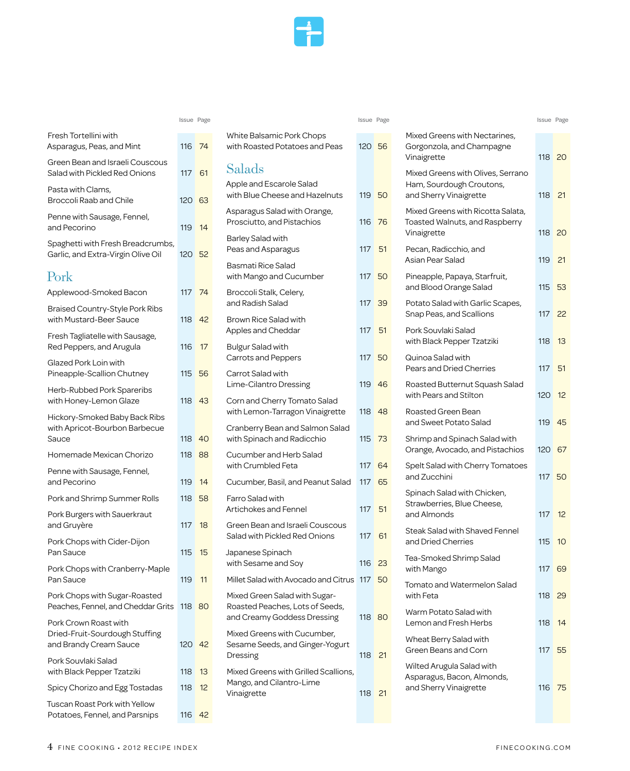

|                                                                                   | Issue Page       |     |
|-----------------------------------------------------------------------------------|------------------|-----|
| Fresh Tortellini with<br>Asparagus, Peas, and Mint                                | 116              | 74  |
| Green Bean and Israeli Couscous<br>Salad with Pickled Red Onions                  | 117              | 61  |
| Pasta with Clams,<br>Broccoli Raab and Chile                                      | 120 63           |     |
| Penne with Sausage, Fennel,<br>and Pecorino                                       | 119              | 14  |
| Spaghetti with Fresh Breadcrumbs,<br>Garlic, and Extra-Virgin Olive Oil           | 120 <sub>1</sub> | 52  |
| Pork                                                                              |                  |     |
| Applewood-Smoked Bacon                                                            | 117 74           |     |
| Braised Country-Style Pork Ribs<br>with Mustard-Beer Sauce                        | 118 42           |     |
| Fresh Tagliatelle with Sausage,<br>Red Peppers, and Arugula                       | 116              | 17  |
| Glazed Pork Loin with<br>Pineapple-Scallion Chutney                               | 115 56           |     |
| Herb-Rubbed Pork Spareribs<br>with Honey-Lemon Glaze                              | 118              | -43 |
| Hickory-Smoked Baby Back Ribs<br>with Apricot-Bourbon Barbecue<br>Sauce           | 118              | 40  |
| Homemade Mexican Chorizo                                                          | 118              | 88  |
| Penne with Sausage, Fennel,<br>and Pecorino                                       | 119 14           |     |
| Pork and Shrimp Summer Rolls                                                      | 118              | 58  |
| Pork Burgers with Sauerkraut<br>and Gruyère                                       | 117              | 18  |
| Pork Chops with Cider-Dijon<br>Pan Sauce                                          | 115              | 15  |
| Pork Chops with Cranberry-Maple<br>Pan Sauce                                      | 119              | 11  |
| Pork Chops with Sugar-Roasted<br>Peaches, Fennel, and Cheddar Grits               | 118              | 80  |
| Pork Crown Roast with<br>Dried-Fruit-Sourdough Stuffing<br>and Brandy Cream Sauce | 120              | 42  |
| Pork Souvlaki Salad<br>with Black Pepper Tzatziki                                 | 118              | 13  |
| Spicy Chorizo and Egg Tostadas                                                    | 118              | 12  |
| Tuscan Roast Pork with Yellow<br>Potatoes, Fennel, and Parsnips                   | 116              | 42  |

| <b>White Balsamic Pork Chops</b><br>with Roasted Potatoes and Peas                              | 120 56 |    |
|-------------------------------------------------------------------------------------------------|--------|----|
| Salads                                                                                          |        |    |
| Apple and Escarole Salad<br>with Blue Cheese and Hazelnuts                                      | 119 50 |    |
| Asparagus Salad with Orange,<br>Prosciutto, and Pistachios                                      | 116    | 76 |
| <b>Barley Salad with</b><br>Peas and Asparagus                                                  | 117    | 51 |
| <b>Basmati Rice Salad</b><br>with Mango and Cucumber                                            | 117    | 50 |
| Broccoli Stalk, Celery,<br>and Radish Salad                                                     | 117    | 39 |
| Brown Rice Salad with<br>Apples and Cheddar                                                     | 117    | 51 |
| <b>Bulgur Salad with</b><br>Carrots and Peppers                                                 | 117    | 50 |
| Carrot Salad with<br>Lime-Cilantro Dressing                                                     | 119    | 46 |
| Corn and Cherry Tomato Salad<br>with Lemon-Tarragon Vinaigrette                                 | 118    | 48 |
| Cranberry Bean and Salmon Salad<br>with Spinach and Radicchio                                   | 115    | 73 |
| Cucumber and Herb Salad<br>with Crumbled Feta                                                   | 117    | 64 |
| Cucumber, Basil, and Peanut Salad                                                               | 117    | 65 |
| Farro Salad with<br>Artichokes and Fennel                                                       | 117    | 51 |
| Green Bean and Israeli Couscous<br>Salad with Pickled Red Onions                                | 117    | 61 |
| Japanese Spinach<br>with Sesame and Soy                                                         | 116    | 23 |
| Millet Salad with Avocado and Citrus                                                            | 117    | 50 |
| Mixed Green Salad with Sugar-<br>Roasted Peaches, Lots of Seeds,<br>and Creamy Goddess Dressing | 118    | 80 |
| Mixed Greens with Cucumber,<br>Sesame Seeds, and Ginger-Yogurt<br>Dressing                      | 118    | 21 |
| Mixed Greens with Grilled Scallions,<br>Mango, and Cilantro-Lime<br>Vinaigrette                 | 118    | 21 |
|                                                                                                 |        |    |

| Issue Page |          |                                                                                                 |        | Issue Page |                                                                                   | Issue Page    |                 |
|------------|----------|-------------------------------------------------------------------------------------------------|--------|------------|-----------------------------------------------------------------------------------|---------------|-----------------|
| 116 74     |          | White Balsamic Pork Chops<br>with Roasted Potatoes and Peas                                     | 120 56 |            | Mixed Greens with Nectarines,<br>Gorgonzola, and Champagne<br>Vinaigrette         | 118 20        |                 |
| 117        | - 61     | Salads                                                                                          |        |            | Mixed Greens with Olives, Serrano                                                 |               |                 |
| 120 63     |          | Apple and Escarole Salad<br>with Blue Cheese and Hazelnuts                                      |        | 119 50     | Ham, Sourdough Croutons,<br>and Sherry Vinaigrette                                | 118 21        |                 |
| 119        | -14      | Asparagus Salad with Orange,<br>Prosciutto, and Pistachios                                      |        | 116 76     | Mixed Greens with Ricotta Salata,<br>Toasted Walnuts, and Raspberry               |               |                 |
| 120 52     |          | <b>Barley Salad with</b><br>Peas and Asparagus                                                  | 117    | 51         | Vinaigrette<br>Pecan, Radicchio, and                                              | 118 20        |                 |
|            |          | <b>Basmati Rice Salad</b><br>with Mango and Cucumber                                            |        | 117 50     | Asian Pear Salad<br>Pineapple, Papaya, Starfruit,                                 | 119           | 21              |
| 117 74     |          | Broccoli Stalk, Celery,<br>and Radish Salad                                                     | 117    | 39         | and Blood Orange Salad<br>Potato Salad with Garlic Scapes,                        | 115           | 53              |
| 118 42     |          | <b>Brown Rice Salad with</b>                                                                    |        |            | Snap Peas, and Scallions                                                          | 117           | 22              |
|            |          | Apples and Cheddar                                                                              | 117    | 51         | Pork Souvlaki Salad<br>with Black Pepper Tzatziki                                 | 118           | 13              |
| 116        | 17       | <b>Bulgur Salad with</b><br><b>Carrots and Peppers</b>                                          |        | 117 50     | Quinoa Salad with                                                                 |               |                 |
| 115        | 56       | Carrot Salad with<br>Lime-Cilantro Dressing                                                     |        | 119 46     | Pears and Dried Cherries<br>Roasted Butternut Squash Salad                        | 117           | 51              |
| 118 43     |          | Corn and Cherry Tomato Salad                                                                    |        |            | with Pears and Stilton                                                            | 120           | 12              |
|            |          | with Lemon-Tarragon Vinaigrette<br>Cranberry Bean and Salmon Salad                              |        | 118 48     | Roasted Green Bean<br>and Sweet Potato Salad                                      | 119           | 45              |
| 118 40     |          | with Spinach and Radicchio                                                                      | 115    | -73        | Shrimp and Spinach Salad with<br>Orange, Avocado, and Pistachios                  | 120 67        |                 |
| 118 88     |          | Cucumber and Herb Salad<br>with Crumbled Feta                                                   |        | 117 64     | Spelt Salad with Cherry Tomatoes                                                  |               |                 |
| 119        | 14       | Cucumber, Basil, and Peanut Salad                                                               |        | 117 65     | and Zucchini                                                                      | 117 50        |                 |
| 118        | 58       | <b>Farro Salad with</b><br>Artichokes and Fennel                                                | 117 51 |            | Spinach Salad with Chicken,<br>Strawberries, Blue Cheese,<br>and Almonds          | 117           | 12 <sup>2</sup> |
| 117        | 18       | Green Bean and Israeli Couscous<br>Salad with Pickled Red Onions                                |        | 117 61     | Steak Salad with Shaved Fennel<br>and Dried Cherries                              | 115           | 10              |
| 115        | 15       | Japanese Spinach<br>with Sesame and Soy                                                         | 116 23 |            | Tea-Smoked Shrimp Salad<br>with Mango                                             | 117 69        |                 |
| 119        | 11       | Millet Salad with Avocado and Citrus 117 50                                                     |        |            | Tomato and Watermelon Salad                                                       |               |                 |
| 118 80     |          | Mixed Green Salad with Sugar-<br>Roasted Peaches, Lots of Seeds,<br>and Creamy Goddess Dressing |        | 118 80     | with Feta<br>Warm Potato Salad with<br>Lemon and Fresh Herbs                      | 118 29<br>118 | 14              |
| 120 42     |          | Mixed Greens with Cucumber,<br>Sesame Seeds, and Ginger-Yogurt<br>Dressing                      | 118 21 |            | Wheat Berry Salad with<br>Green Beans and Corn                                    | 117           | 55              |
| 118<br>118 | 13<br>12 | Mixed Greens with Grilled Scallions,<br>Mango, and Cilantro-Lime<br>Vinaigrette                 | 118 21 |            | Wilted Arugula Salad with<br>Asparagus, Bacon, Almonds,<br>and Sherry Vinaigrette | 116 75        |                 |
|            |          |                                                                                                 |        |            |                                                                                   |               |                 |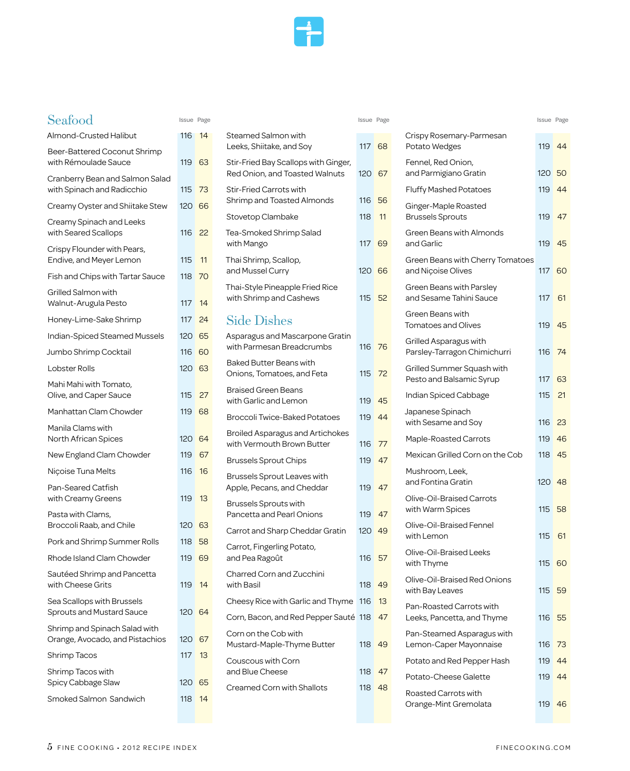

# Seafood Issue Page Issue Page Issue Page

| Almond-Crusted Halibut                                           | 116 | 14 |
|------------------------------------------------------------------|-----|----|
| Beer-Battered Coconut Shrimp<br>with Rémoulade Sauce             | 119 | 63 |
| Cranberry Bean and Salmon Salad<br>with Spinach and Radicchio    | 115 | 73 |
| Creamy Oyster and Shiitake Stew                                  | 120 | 66 |
| Creamy Spinach and Leeks<br>with Seared Scallops                 | 116 | 22 |
| Crispy Flounder with Pears,<br>Endive, and Meyer Lemon           | 115 | 11 |
| Fish and Chips with Tartar Sauce                                 | 118 | 70 |
| <b>Grilled Salmon with</b><br>Walnut-Arugula Pesto               | 117 | 14 |
| Honey-Lime-Sake Shrimp                                           | 117 | 24 |
| Indian-Spiced Steamed Mussels                                    | 120 | 65 |
| Jumbo Shrimp Cocktail                                            | 116 | 60 |
| Lobster Rolls                                                    | 120 | 63 |
| Mahi Mahi with Tomato,<br>Olive, and Caper Sauce                 | 115 | 27 |
| Manhattan Clam Chowder                                           | 119 | 68 |
| Manila Clams with<br>North African Spices                        | 120 | 64 |
| New England Clam Chowder                                         | 119 | 67 |
| Niçoise Tuna Melts                                               | 116 | 16 |
| Pan-Seared Catfish<br>with Creamy Greens                         | 119 | 13 |
| Pasta with Clams,<br>Broccoli Raab, and Chile                    | 120 | 63 |
| Pork and Shrimp Summer Rolls                                     | 118 | 58 |
| Rhode Island Clam Chowder                                        | 119 | 69 |
| Sautéed Shrimp and Pancetta<br>with Cheese Grits                 | 119 | 14 |
| Sea Scallops with Brussels<br><b>Sprouts and Mustard Sauce</b>   | 120 | 64 |
| Shrimp and Spinach Salad with<br>Orange, Avocado, and Pistachios | 120 | 67 |
| Shrimp Tacos                                                     | 117 | 13 |
| Shrimp Tacos with<br>Spicy Cabbage Slaw                          | 120 | 65 |
| Smoked Salmon Sandwich                                           | 118 | 14 |

| Steamed Salmon with<br>Leeks, Shiitake, and Sov                        | 117 68 |      |
|------------------------------------------------------------------------|--------|------|
| Stir-Fried Bay Scallops with Ginger,<br>Red Onion, and Toasted Walnuts | 120    | 67   |
| <b>Stir-Fried Carrots with</b><br>Shrimp and Toasted Almonds           | 116    | 56   |
| Stovetop Clambake                                                      | 118    | 11   |
| Tea-Smoked Shrimp Salad<br>with Mango                                  | 117    | 69   |
| Thai Shrimp, Scallop,<br>and Mussel Curry                              | 120    | 66   |
| Thai-Style Pineapple Fried Rice<br>with Shrimp and Cashews             | 115    | 52   |
| <b>Side Dishes</b>                                                     |        |      |
| Asparagus and Mascarpone Gratin<br>with Parmesan Breadcrumbs           | 116    | - 76 |
| <b>Baked Butter Beans with</b><br>Onions, Tomatoes, and Feta           | 115    | 72   |
| <b>Braised Green Beans</b><br>with Garlic and Lemon                    | 119    | 45   |
| Broccoli Twice-Baked Potatoes                                          | 119    | 44   |
| <b>Broiled Asparagus and Artichokes</b><br>with Vermouth Brown Butter  | 116    | 77   |
| <b>Brussels Sprout Chips</b>                                           | 119    | 47   |
| Brussels Sprout Leaves with<br>Apple, Pecans, and Cheddar              | 119    | 47   |
| Brussels Sprouts with<br>Pancetta and Pearl Onions                     | 119    | 47   |
| Carrot and Sharp Cheddar Gratin                                        | 120    | 49   |
| Carrot, Fingerling Potato,<br>and Pea Ragoût                           | 116    | 57   |
| Charred Corn and Zucchini<br>with Basil                                | 118    | 49   |
| Cheesy Rice with Garlic and Thyme                                      | 116    | 13   |
| Corn, Bacon, and Red Pepper Sauté                                      | 118    | 47   |
| Corn on the Cob with<br>Mustard-Maple-Thyme Butter                     | 118    | 49   |
| Couscous with Corn<br>and Blue Cheese                                  | 118    | 47   |
| <b>Creamed Corn with Shallots</b>                                      | 118    | 48   |
|                                                                        |        |      |

| Issue Page       |            |                                                                        | Issue Page    |      |                                                        | Issue Page |     |
|------------------|------------|------------------------------------------------------------------------|---------------|------|--------------------------------------------------------|------------|-----|
| 116 14           |            | Steamed Salmon with<br>Leeks, Shiitake, and Soy                        | 117           | 68   | Crispy Rosemary-Parmesan<br>Potato Wedges              | 119        | 44  |
| 119 63           |            | Stir-Fried Bay Scallops with Ginger,<br>Red Onion, and Toasted Walnuts | 120 67        |      | Fennel, Red Onion,<br>and Parmigiano Gratin            | 120 50     |     |
| 115              | 73         | <b>Stir-Fried Carrots with</b>                                         |               |      | <b>Fluffy Mashed Potatoes</b>                          | 119        | 44  |
| 120 66           |            | Shrimp and Toasted Almonds<br>Stovetop Clambake                        | 116 56<br>118 | 11   | Ginger-Maple Roasted<br><b>Brussels Sprouts</b>        | 119        | 47  |
| 116 22           |            | Tea-Smoked Shrimp Salad<br>with Mango                                  | 117 69        |      | Green Beans with Almonds<br>and Garlic                 | 119        | -45 |
| 115<br>118       | 11<br>- 70 | Thai Shrimp, Scallop,<br>and Mussel Curry                              | 120 66        |      | Green Beans with Cherry Tomatoes<br>and Niçoise Olives | 117        | 60  |
| 117 14           |            | Thai-Style Pineapple Fried Rice<br>with Shrimp and Cashews             | 115           | 52   | Green Beans with Parsley<br>and Sesame Tahini Sauce    | 117        | 61  |
| 117              | -24        | <b>Side Dishes</b>                                                     |               |      | Green Beans with<br><b>Tomatoes and Olives</b>         | 119        | 45  |
| 120 65<br>116 60 |            | Asparagus and Mascarpone Gratin<br>with Parmesan Breadcrumbs           | 116           | - 76 | Grilled Asparagus with<br>Parsley-Tarragon Chimichurri | 116        | 74  |
| 120 63           |            | <b>Baked Butter Beans with</b><br>Onions, Tomatoes, and Feta           | 115           | 72   | Grilled Summer Squash with<br>Pesto and Balsamic Syrup | 117        | 63  |
| 115              | -27        | <b>Braised Green Beans</b><br>with Garlic and Lemon                    | 119           | 45   | Indian Spiced Cabbage                                  | 115        | 21  |
| 119              | 68         | <b>Broccoli Twice-Baked Potatoes</b>                                   | 119           | 44   | Japanese Spinach<br>with Sesame and Soy                | 116        | 23  |
| 120 64           |            | <b>Broiled Asparagus and Artichokes</b><br>with Vermouth Brown Butter  | 116           | 77   | <b>Maple-Roasted Carrots</b>                           | 119        | 46  |
| 119              | 67         | <b>Brussels Sprout Chips</b>                                           | 119           | 47   | Mexican Grilled Corn on the Cob                        | 118        | 45  |
| 116              | 16         | Brussels Sprout Leaves with<br>Apple, Pecans, and Cheddar              | 119           | 47   | Mushroom, Leek,<br>and Fontina Gratin                  | 120        | 48  |
| 119              | 13         | <b>Brussels Sprouts with</b><br>Pancetta and Pearl Onions              | 119           | 47   | Olive-Oil-Braised Carrots<br>with Warm Spices          | 115        | 58  |
| 120 63           |            | Carrot and Sharp Cheddar Gratin                                        | 120 49        |      | Olive-Oil-Braised Fennel                               |            |     |
| 118              | -58        | Carrot, Fingerling Potato,                                             |               |      | with Lemon                                             | 115        | 61  |
| 119 69           |            | and Pea Ragoût                                                         | 116 57        |      | Olive-Oil-Braised Leeks<br>with Thyme                  | 115 60     |     |
| 119 14           |            | Charred Corn and Zucchini<br>with Basil                                | 118 49        |      | Olive-Oil-Braised Red Onions<br>with Bay Leaves        | 115        | 59  |
|                  |            | Cheesy Rice with Garlic and Thyme                                      | -116          | 13   | Pan-Roasted Carrots with                               |            |     |
| 120 64           |            | Corn, Bacon, and Red Pepper Sauté 118                                  |               | 47   | Leeks, Pancetta, and Thyme                             | 116        | 55  |
| 120 67           |            | Corn on the Cob with<br>Mustard-Maple-Thyme Butter                     | 118 49        |      | Pan-Steamed Asparagus with<br>Lemon-Caper Mayonnaise   | 116        | 73  |
| 117              | 13         | Couscous with Corn                                                     |               |      | Potato and Red Pepper Hash                             | 119        | 44  |
| 120 65           |            | and Blue Cheese                                                        | 118           | 47   | Potato-Cheese Galette                                  | 119        | 44  |
| 118              | -14        | Creamed Corn with Shallots                                             | 118 48        |      | Roasted Carrots with<br>Orange-Mint Gremolata          | 119 46     |     |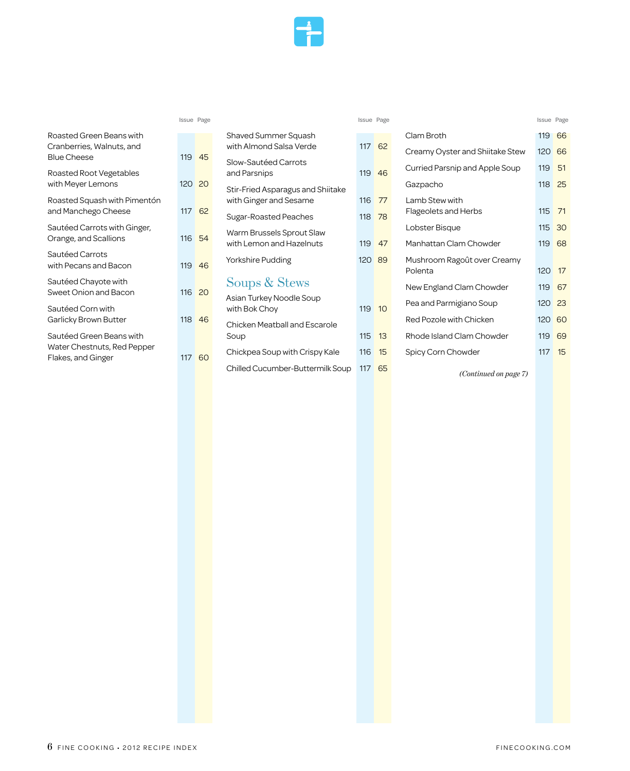

| Roasted Green Beans with<br>Cranberries, Walnuts, and<br><b>Blue Cheese</b>   | 119 45  |    |
|-------------------------------------------------------------------------------|---------|----|
| <b>Roasted Root Vegetables</b><br>with Meyer Lemons                           | 120 20  |    |
| Roasted Squash with Pimentón<br>and Manchego Cheese                           | 117     | 62 |
| Sautéed Carrots with Ginger,<br>Orange, and Scallions                         | 116 54  |    |
| Sautéed Carrots<br>with Pecans and Bacon                                      | 119 46  |    |
| Sautéed Chayote with<br>Sweet Onion and Bacon                                 | 116, 20 |    |
| Sautéed Corn with<br>Garlicky Brown Butter                                    | 118 46  |    |
| Sautéed Green Beans with<br>Water Chestnuts, Red Pepper<br>Flakes, and Ginger | 117     | 60 |
|                                                                               |         |    |

| Shaved Summer Squash<br>with Almond Salsa Verde             | 117    | - 62           |
|-------------------------------------------------------------|--------|----------------|
| Slow-Sautéed Carrots<br>and Parsnips                        | 119 46 |                |
| Stir-Fried Asparagus and Shiitake<br>with Ginger and Sesame | 116 77 |                |
| Sugar-Roasted Peaches                                       | 118 78 |                |
| Warm Brussels Sprout Slaw<br>with Lemon and Hazelnuts       | 119 47 |                |
| Yorkshire Pudding                                           | 120 89 |                |
| Soups & Stews                                               |        |                |
| Asian Turkey Noodle Soup<br>with Bok Choy                   | 119    | 1 <sub>O</sub> |
| <b>Chicken Meatball and Escarole</b><br>Soup                | 115    | 13             |
| Chickpea Soup with Crispy Kale                              | 116    | 15             |

| Issue Page |    |                                                 | Issue Page |    |                                               | Issue Page |          |
|------------|----|-------------------------------------------------|------------|----|-----------------------------------------------|------------|----------|
|            |    | Shaved Summer Squash<br>with Almond Salsa Verde | 117        | 62 | Clam Broth<br>Creamy Oyster and Shiitake Stew | 119<br>120 | 66<br>66 |
| 119        | 45 | Slow-Sautéed Carrots<br>and Parsnips            | 119        | 46 | Curried Parsnip and Apple Soup                | 119        | 51       |
| 120        | 20 | Stir-Fried Asparagus and Shiitake               |            |    | Gazpacho                                      | 118        | 25       |
|            |    | with Ginger and Sesame                          | 116        | 77 | Lamb Stew with                                |            |          |
| 117 62     |    | Sugar-Roasted Peaches                           | 118        | 78 | Flageolets and Herbs                          | 115        | 71       |
|            |    | Warm Brussels Sprout Slaw                       |            |    | Lobster Bisque                                | 115        | 30       |
| 116        | 54 | with Lemon and Hazelnuts                        | 119        | 47 | Manhattan Clam Chowder                        | 119        | 68       |
| 119        | 46 | Yorkshire Pudding                               | 120 89     |    | Mushroom Ragoût over Creamy                   |            |          |
|            |    |                                                 |            |    | Polenta                                       | 120        | 17       |
| 116        | 20 | Soups & Stews                                   |            |    | New England Clam Chowder                      | 119        | 67       |
|            |    | Asian Turkey Noodle Soup                        |            |    | Pea and Parmigiano Soup                       | 120        | -23      |
|            |    | with Bok Choy                                   | 119        | 10 |                                               |            |          |
| 118        | 46 | <b>Chicken Meatball and Escarole</b>            |            |    | Red Pozole with Chicken                       | 120        | 60       |
|            |    | Soup                                            | 115        | 13 | Rhode Island Clam Chowder                     | 119        | 69       |
| 117        | 60 | Chickpea Soup with Crispy Kale                  | 116        | 15 | Spicy Corn Chowder                            | 117        | 15       |
|            |    | Chilled Cucumber-Buttermilk Soup                | 117        | 65 | (0, 1, 1, 1, 1, 1, 1, 1, 1, 1, 1)             |            |          |

 *(Continued on page 7)*